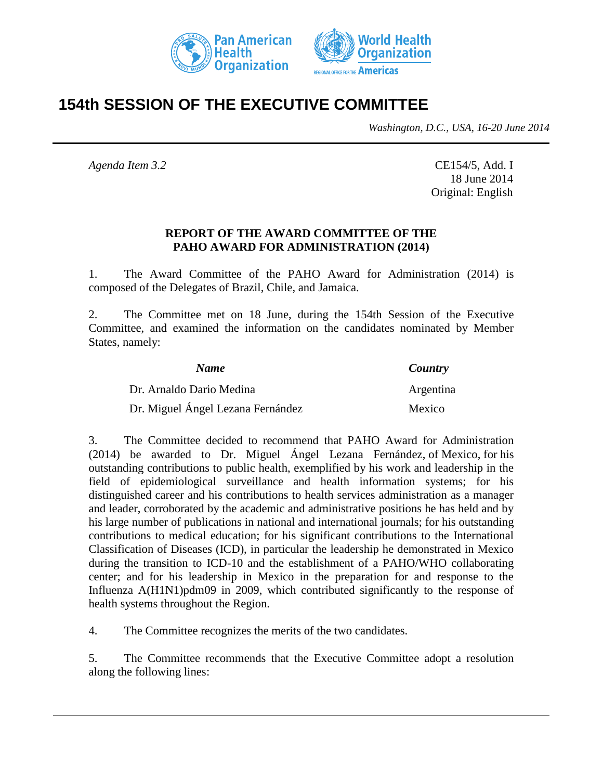



# **154th SESSION OF THE EXECUTIVE COMMITTEE**

*Washington, D.C., USA, 16-20 June 2014*

*Agenda Item 3.2* CE154/5, Add. I 18 June 2014 Original: English

## **REPORT OF THE AWARD COMMITTEE OF THE PAHO AWARD FOR ADMINISTRATION (2014)**

1. The Award Committee of the PAHO Award for Administration (2014) is composed of the Delegates of Brazil, Chile, and Jamaica.

2. The Committee met on 18 June, during the 154th Session of the Executive Committee, and examined the information on the candidates nominated by Member States, namely:

| <b>Name</b>                       | Country   |
|-----------------------------------|-----------|
| Dr. Arnaldo Dario Medina          | Argentina |
| Dr. Miguel Ángel Lezana Fernández | Mexico    |

3. The Committee decided to recommend that PAHO Award for Administration (2014) be awarded to Dr. Miguel Ángel Lezana Fernández, of Mexico, for his outstanding contributions to public health, exemplified by his work and leadership in the field of epidemiological surveillance and health information systems; for his distinguished career and his contributions to health services administration as a manager and leader, corroborated by the academic and administrative positions he has held and by his large number of publications in national and international journals; for his outstanding contributions to medical education; for his significant contributions to the International Classification of Diseases (ICD), in particular the leadership he demonstrated in Mexico during the transition to ICD-10 and the establishment of a PAHO/WHO collaborating center; and for his leadership in Mexico in the preparation for and response to the Influenza A(H1N1)pdm09 in 2009, which contributed significantly to the response of health systems throughout the Region.

4. The Committee recognizes the merits of the two candidates.

5. The Committee recommends that the Executive Committee adopt a resolution along the following lines: